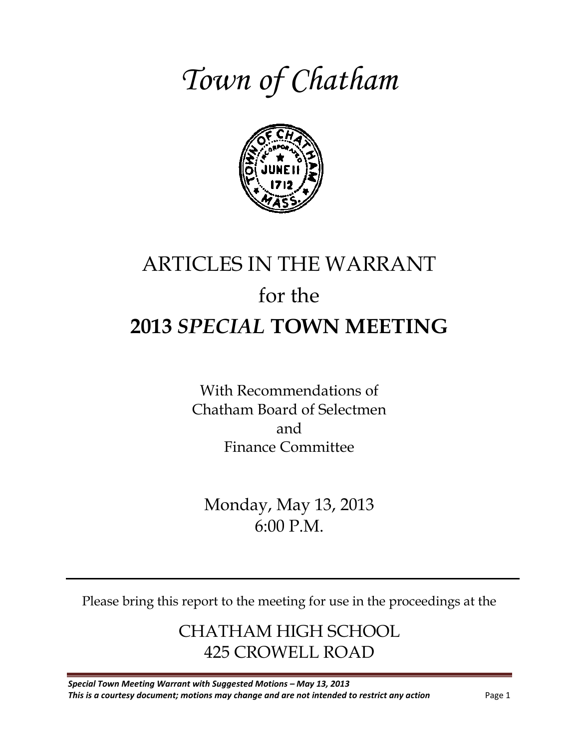# *Town of Chatham*



## ARTICLES IN THE WARRANT for the **2013** *SPECIAL* **TOWN MEETING**

With Recommendations of Chatham Board of Selectmen and Finance Committee

Monday, May 13, 2013 6:00 P.M.

Please bring this report to the meeting for use in the proceedings at the

CHATHAM HIGH SCHOOL 425 CROWELL ROAD

*Special Town Meeting Warrant with Suggested Motions – May 13, 2013*  **This is a courtesy document; motions may change and are not intended to restrict any action** Page 1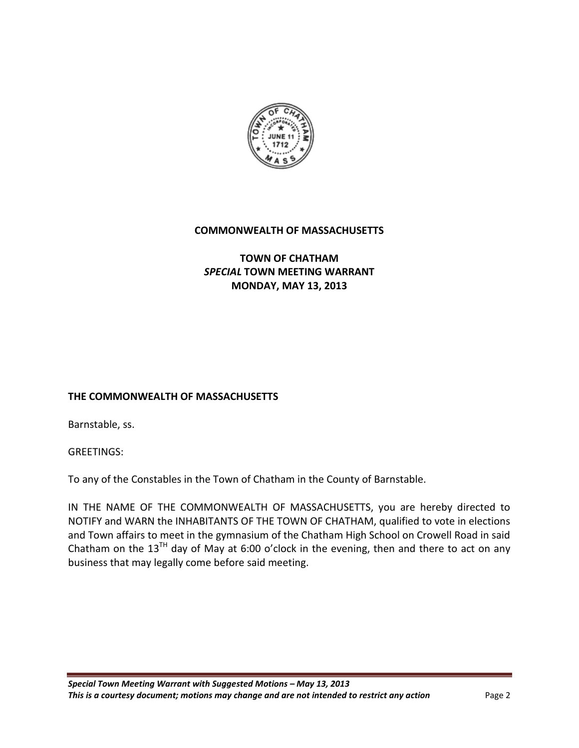

#### **COMMONWEALTH OF MASSACHUSETTS**

#### **TOWN OF CHATHAM** *SPECIAL* **TOWN MEETING WARRANT MONDAY, MAY 13, 2013**

#### **THE COMMONWEALTH OF MASSACHUSETTS**

Barnstable, ss.

**GREETINGS:** 

To any of the Constables in the Town of Chatham in the County of Barnstable.

IN THE NAME OF THE COMMONWEALTH OF MASSACHUSETTS, you are hereby directed to NOTIFY and WARN the INHABITANTS OF THE TOWN OF CHATHAM, qualified to vote in elections and Town affairs to meet in the gymnasium of the Chatham High School on Crowell Road in said Chatham on the 13<sup>TH</sup> day of May at 6:00 o'clock in the evening, then and there to act on any business that may legally come before said meeting.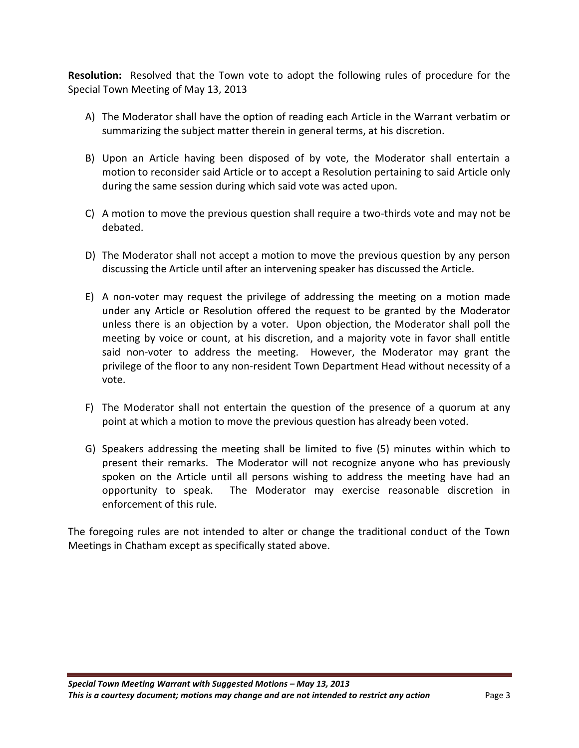**Resolution:** Resolved that the Town vote to adopt the following rules of procedure for the Special Town Meeting of May 13, 2013

- A) The Moderator shall have the option of reading each Article in the Warrant verbatim or summarizing the subject matter therein in general terms, at his discretion.
- B) Upon an Article having been disposed of by vote, the Moderator shall entertain a motion to reconsider said Article or to accept a Resolution pertaining to said Article only during the same session during which said vote was acted upon.
- C) A motion to move the previous question shall require a two-thirds vote and may not be debated.
- D) The Moderator shall not accept a motion to move the previous question by any person discussing the Article until after an intervening speaker has discussed the Article.
- E) A non-voter may request the privilege of addressing the meeting on a motion made under any Article or Resolution offered the request to be granted by the Moderator unless there is an objection by a voter. Upon objection, the Moderator shall poll the meeting by voice or count, at his discretion, and a majority vote in favor shall entitle said non-voter to address the meeting. However, the Moderator may grant the privilege of the floor to any non-resident Town Department Head without necessity of a vote.
- F) The Moderator shall not entertain the question of the presence of a quorum at any point at which a motion to move the previous question has already been voted.
- G) Speakers addressing the meeting shall be limited to five (5) minutes within which to present their remarks. The Moderator will not recognize anyone who has previously spoken on the Article until all persons wishing to address the meeting have had an opportunity to speak. The Moderator may exercise reasonable discretion in enforcement of this rule.

The foregoing rules are not intended to alter or change the traditional conduct of the Town Meetings in Chatham except as specifically stated above.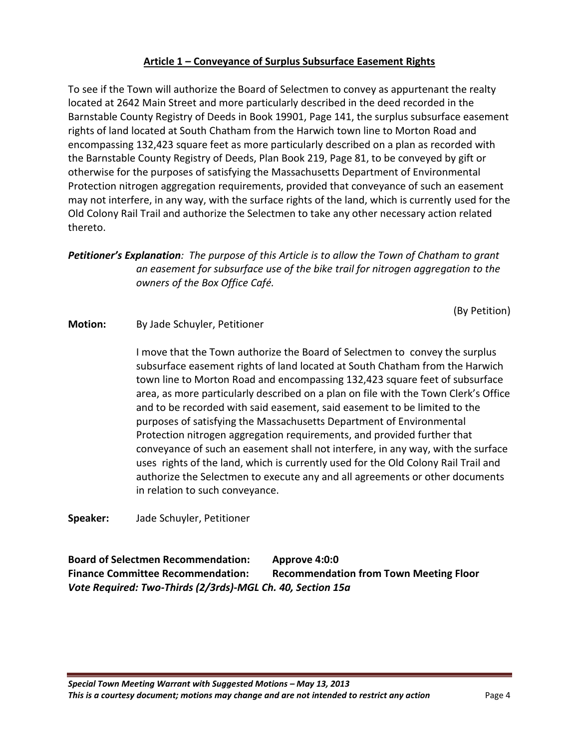#### **Article 1 – Conveyance of Surplus Subsurface Easement Rights**

To see if the Town will authorize the Board of Selectmen to convey as appurtenant the realty located at 2642 Main Street and more particularly described in the deed recorded in the Barnstable County Registry of Deeds in Book 19901, Page 141, the surplus subsurface easement rights of land located at South Chatham from the Harwich town line to Morton Road and encompassing 132,423 square feet as more particularly described on a plan as recorded with the Barnstable County Registry of Deeds, Plan Book 219, Page 81, to be conveyed by gift or otherwise for the purposes of satisfying the Massachusetts Department of Environmental Protection nitrogen aggregation requirements, provided that conveyance of such an easement may not interfere, in any way, with the surface rights of the land, which is currently used for the Old Colony Rail Trail and authorize the Selectmen to take any other necessary action related thereto.

*Petitioner's Explanation: The purpose of this Article is to allow the Town of Chatham to grant an easement for subsurface use of the bike trail for nitrogen aggregation to the owners of the Box Office Café.*

(By Petition)

#### **Motion:** By Jade Schuyler, Petitioner

I move that the Town authorize the Board of Selectmen to convey the surplus subsurface easement rights of land located at South Chatham from the Harwich town line to Morton Road and encompassing 132,423 square feet of subsurface area, as more particularly described on a plan on file with the Town Clerk's Office and to be recorded with said easement, said easement to be limited to the purposes of satisfying the Massachusetts Department of Environmental Protection nitrogen aggregation requirements, and provided further that conveyance of such an easement shall not interfere, in any way, with the surface uses rights of the land, which is currently used for the Old Colony Rail Trail and authorize the Selectmen to execute any and all agreements or other documents in relation to such conveyance.

**Speaker:** Jade Schuyler, Petitioner

**Board of Selectmen Recommendation: Approve 4:0:0 Finance Committee Recommendation: Recommendation from Town Meeting Floor** *Vote Required: Two-Thirds (2/3rds)-MGL Ch. 40, Section 15a*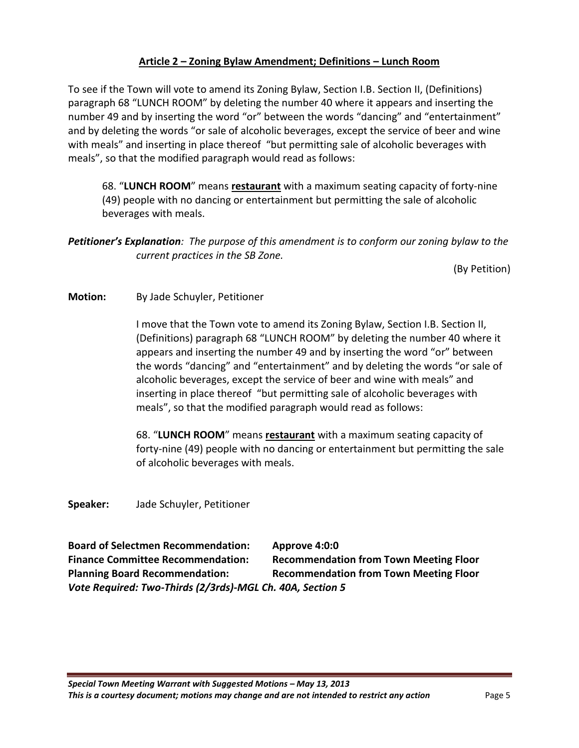#### **Article 2 – Zoning Bylaw Amendment; Definitions – Lunch Room**

To see if the Town will vote to amend its Zoning Bylaw, Section I.B. Section II, (Definitions) paragraph 68 "LUNCH ROOM" by deleting the number 40 where it appears and inserting the number 49 and by inserting the word "or" between the words "dancing" and "entertainment" and by deleting the words "or sale of alcoholic beverages, except the service of beer and wine with meals" and inserting in place thereof "but permitting sale of alcoholic beverages with meals", so that the modified paragraph would read as follows:

68. "**LUNCH ROOM**" means **restaurant** with a maximum seating capacity of forty-nine (49) people with no dancing or entertainment but permitting the sale of alcoholic beverages with meals.

*Petitioner's Explanation: The purpose of this amendment is to conform our zoning bylaw to the current practices in the SB Zone.* 

(By Petition)

#### **Motion:** By Jade Schuyler, Petitioner

I move that the Town vote to amend its Zoning Bylaw, Section I.B. Section II, (Definitions) paragraph 68 "LUNCH ROOM" by deleting the number 40 where it appears and inserting the number 49 and by inserting the word "or" between the words "dancing" and "entertainment" and by deleting the words "or sale of alcoholic beverages, except the service of beer and wine with meals" and inserting in place thereof "but permitting sale of alcoholic beverages with meals", so that the modified paragraph would read as follows:

68. "**LUNCH ROOM**" means **restaurant** with a maximum seating capacity of forty-nine (49) people with no dancing or entertainment but permitting the sale of alcoholic beverages with meals.

**Speaker:** Jade Schuyler, Petitioner

**Board of Selectmen Recommendation: Approve 4:0:0 Finance Committee Recommendation: Recommendation from Town Meeting Floor Planning Board Recommendation: Recommendation from Town Meeting Floor** *Vote Required: Two-Thirds (2/3rds)-MGL Ch. 40A, Section 5*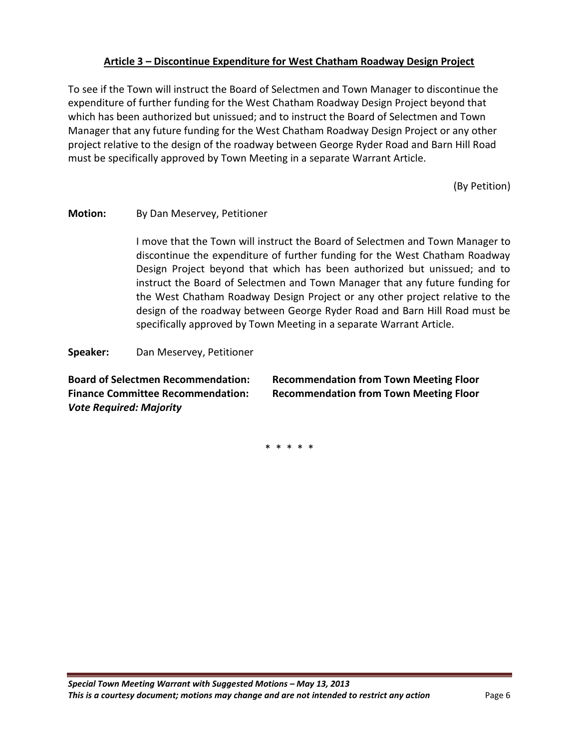#### **Article 3 – Discontinue Expenditure for West Chatham Roadway Design Project**

To see if the Town will instruct the Board of Selectmen and Town Manager to discontinue the expenditure of further funding for the West Chatham Roadway Design Project beyond that which has been authorized but unissued; and to instruct the Board of Selectmen and Town Manager that any future funding for the West Chatham Roadway Design Project or any other project relative to the design of the roadway between George Ryder Road and Barn Hill Road must be specifically approved by Town Meeting in a separate Warrant Article.

(By Petition)

#### **Motion:** By Dan Meservey, Petitioner

I move that the Town will instruct the Board of Selectmen and Town Manager to discontinue the expenditure of further funding for the West Chatham Roadway Design Project beyond that which has been authorized but unissued; and to instruct the Board of Selectmen and Town Manager that any future funding for the West Chatham Roadway Design Project or any other project relative to the design of the roadway between George Ryder Road and Barn Hill Road must be specifically approved by Town Meeting in a separate Warrant Article.

**Speaker:** Dan Meservey, Petitioner

*Vote Required: Majority* 

**Board of Selectmen Recommendation: Recommendation from Town Meeting Floor Finance Committee Recommendation: Recommendation from Town Meeting Floor**

\* \* \* \* \*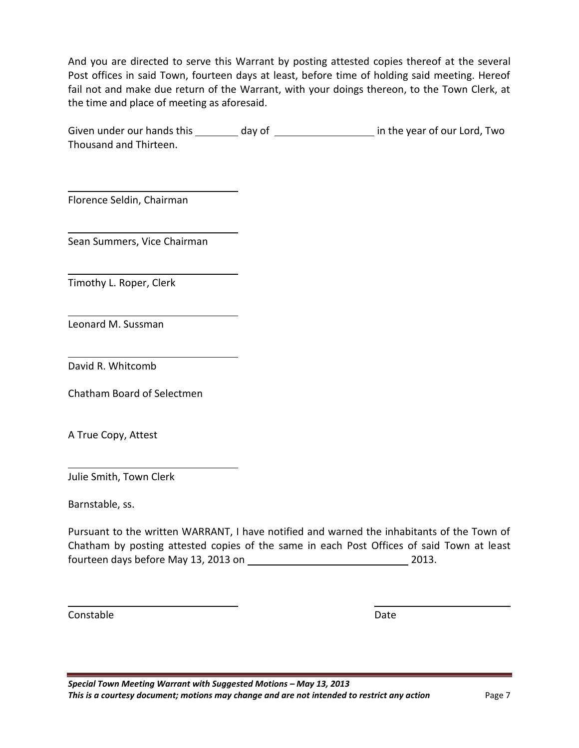And you are directed to serve this Warrant by posting attested copies thereof at the several Post offices in said Town, fourteen days at least, before time of holding said meeting. Hereof fail not and make due return of the Warrant, with your doings thereon, to the Town Clerk, at the time and place of meeting as aforesaid.

Given under our hands this \_\_\_\_\_\_\_\_ day of \_\_\_\_\_\_\_\_\_\_\_\_\_\_\_\_\_\_\_ in the year of our Lord, Two Thousand and Thirteen.

Florence Seldin, Chairman

Sean Summers, Vice Chairman

Timothy L. Roper, Clerk

Leonard M. Sussman

David R. Whitcomb

Chatham Board of Selectmen

A True Copy, Attest

Julie Smith, Town Clerk

Barnstable, ss.

Pursuant to the written WARRANT, I have notified and warned the inhabitants of the Town of Chatham by posting attested copies of the same in each Post Offices of said Town at least fourteen days before May 13, 2013 on 2013.

Constable Date